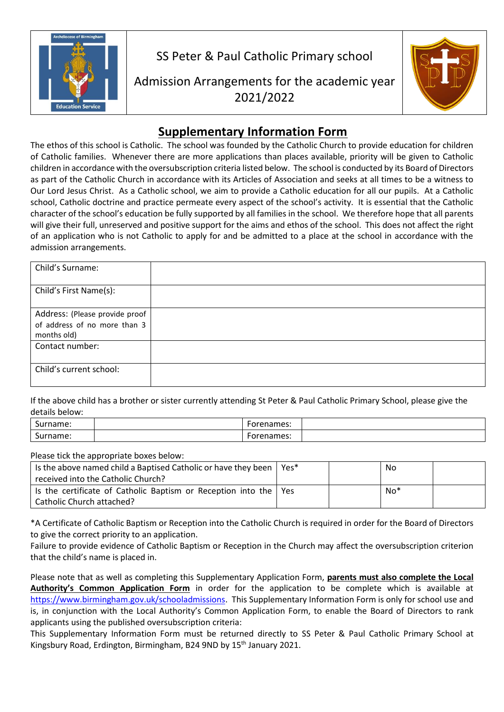

SS Peter & Paul Catholic Primary school

Admission Arrangements for the academic year 2021/2022



## **Supplementary Information Form**

The ethos of this school is Catholic. The school was founded by the Catholic Church to provide education for children of Catholic families. Whenever there are more applications than places available, priority will be given to Catholic children in accordance with the oversubscription criteria listed below. The school is conducted by its Board of Directors as part of the Catholic Church in accordance with its Articles of Association and seeks at all times to be a witness to Our Lord Jesus Christ. As a Catholic school, we aim to provide a Catholic education for all our pupils. At a Catholic school, Catholic doctrine and practice permeate every aspect of the school's activity. It is essential that the Catholic character of the school's education be fully supported by all families in the school. We therefore hope that all parents will give their full, unreserved and positive support for the aims and ethos of the school. This does not affect the right of an application who is not Catholic to apply for and be admitted to a place at the school in accordance with the admission arrangements.

| Child's Surname:                                                              |  |
|-------------------------------------------------------------------------------|--|
| Child's First Name(s):                                                        |  |
| Address: (Please provide proof<br>of address of no more than 3<br>months old) |  |
| Contact number:                                                               |  |
| Child's current school:                                                       |  |

If the above child has a brother or sister currently attending St Peter & Paul Catholic Primary School, please give the details below:

| -<br><br>rname:<br>υc | orenames: |  |
|-----------------------|-----------|--|
| -<br>mame:<br>our     | orenames: |  |

Please tick the appropriate boxes below:

| Is the above named child a Baptised Catholic or have they been           | Yes* | No    |  |
|--------------------------------------------------------------------------|------|-------|--|
| received into the Catholic Church?                                       |      |       |  |
| Is the certificate of Catholic Baptism or Reception into the $\vert$ Yes |      | $No*$ |  |
| Catholic Church attached?                                                |      |       |  |

\*A Certificate of Catholic Baptism or Reception into the Catholic Church is required in order for the Board of Directors to give the correct priority to an application.

Failure to provide evidence of Catholic Baptism or Reception in the Church may affect the oversubscription criterion that the child's name is placed in.

Please note that as well as completing this Supplementary Application Form, **parents must also complete the Local Authority's Common Application Form** in order for the application to be complete which is available at [https://www.birmingham.gov.uk/schooladmissions.](https://www.birmingham.gov.uk/schooladmissions) This Supplementary Information Form is only for school use and is, in conjunction with the Local Authority's Common Application Form, to enable the Board of Directors to rank applicants using the published oversubscription criteria:

This Supplementary Information Form must be returned directly to SS Peter & Paul Catholic Primary School at Kingsbury Road, Erdington, Birmingham, B24 9ND by 15<sup>th</sup> January 2021.